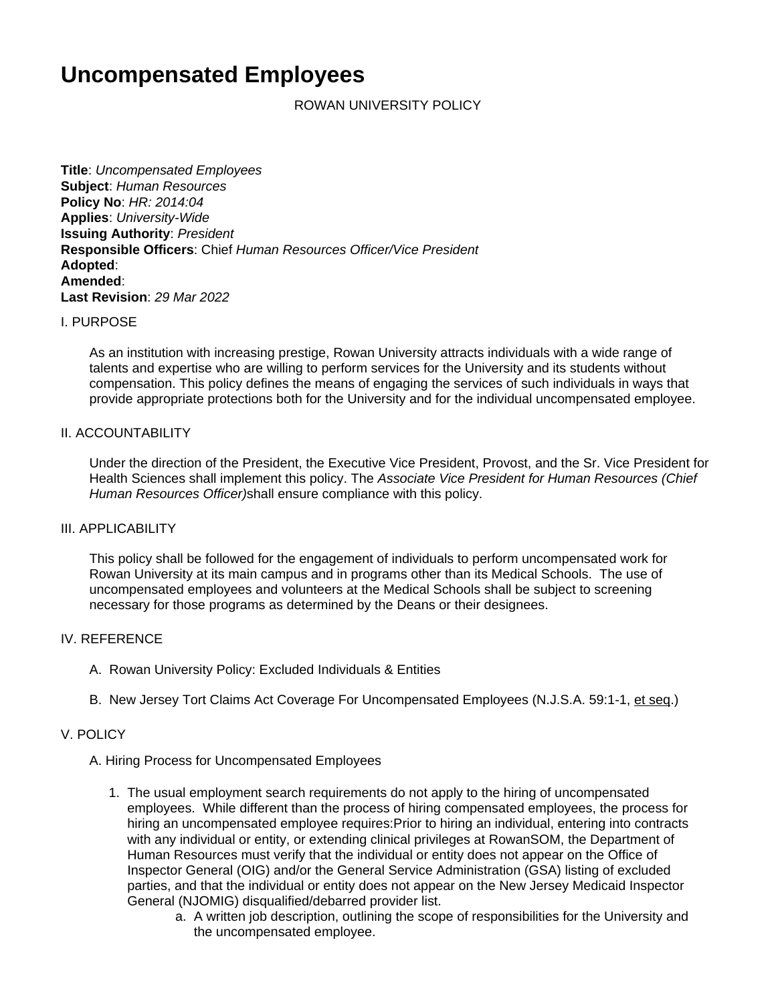# **Uncompensated Employees**

ROWAN UNIVERSITY POLICY

**Title**: Uncompensated Employees **Subject**: Human Resources **Policy No**: HR: 2014:04 **Applies**: University-Wide **Issuing Authority**: President **Responsible Officers**: Chief Human Resources Officer/Vice President **Adopted**: **Amended**: **Last Revision**: 29 Mar 2022

#### I. PURPOSE

As an institution with increasing prestige, Rowan University attracts individuals with a wide range of talents and expertise who are willing to perform services for the University and its students without compensation. This policy defines the means of engaging the services of such individuals in ways that provide appropriate protections both for the University and for the individual uncompensated employee.

#### II. ACCOUNTABILITY

Under the direction of the President, the Executive Vice President, Provost, and the Sr. Vice President for Health Sciences shall implement this policy. The Associate Vice President for Human Resources (Chief Human Resources Officer)shall ensure compliance with this policy.

#### III. APPLICABILITY

This policy shall be followed for the engagement of individuals to perform uncompensated work for Rowan University at its main campus and in programs other than its Medical Schools. The use of uncompensated employees and volunteers at the Medical Schools shall be subject to screening necessary for those programs as determined by the Deans or their designees.

## IV. REFERENCE

- A. Rowan University Policy: Excluded Individuals & Entities
- B. New Jersey Tort Claims Act Coverage For Uncompensated Employees (N.J.S.A. 59:1-1, et seq.)

#### V. POLICY

#### A. Hiring Process for Uncompensated Employees

- 1. The usual employment search requirements do not apply to the hiring of uncompensated employees. While different than the process of hiring compensated employees, the process for hiring an uncompensated employee requires:Prior to hiring an individual, entering into contracts with any individual or entity, or extending clinical privileges at RowanSOM, the Department of Human Resources must verify that the individual or entity does not appear on the Office of Inspector General (OIG) and/or the General Service Administration (GSA) listing of excluded parties, and that the individual or entity does not appear on the New Jersey Medicaid Inspector General (NJOMIG) disqualified/debarred provider list.
	- a. A written job description, outlining the scope of responsibilities for the University and the uncompensated employee.